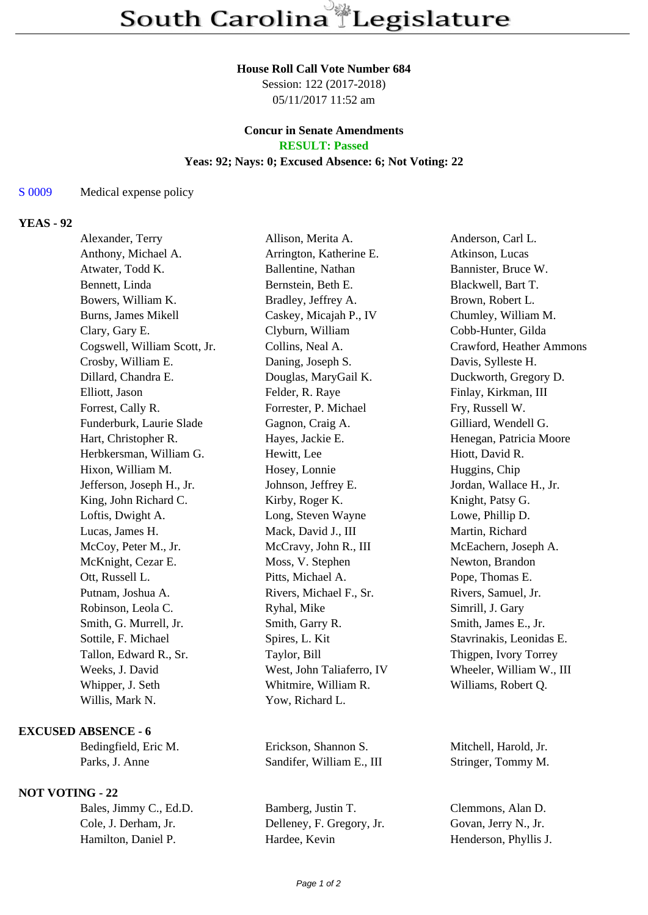### **House Roll Call Vote Number 684**

Session: 122 (2017-2018) 05/11/2017 11:52 am

#### **Concur in Senate Amendments RESULT: Passed**

# **Yeas: 92; Nays: 0; Excused Absence: 6; Not Voting: 22**

## S 0009 Medical expense policy

## **YEAS - 92**

| Alexander, Terry             | Allison, Merita A.        | Anderson, Carl L.        |
|------------------------------|---------------------------|--------------------------|
| Anthony, Michael A.          | Arrington, Katherine E.   | Atkinson, Lucas          |
| Atwater, Todd K.             | Ballentine, Nathan        | Bannister, Bruce W.      |
| Bennett, Linda               | Bernstein, Beth E.        | Blackwell, Bart T.       |
| Bowers, William K.           | Bradley, Jeffrey A.       | Brown, Robert L.         |
| <b>Burns, James Mikell</b>   | Caskey, Micajah P., IV    | Chumley, William M.      |
| Clary, Gary E.               | Clyburn, William          | Cobb-Hunter, Gilda       |
| Cogswell, William Scott, Jr. | Collins, Neal A.          | Crawford, Heather Ammons |
| Crosby, William E.           | Daning, Joseph S.         | Davis, Sylleste H.       |
| Dillard, Chandra E.          | Douglas, MaryGail K.      | Duckworth, Gregory D.    |
| Elliott, Jason               | Felder, R. Raye           | Finlay, Kirkman, III     |
| Forrest, Cally R.            | Forrester, P. Michael     | Fry, Russell W.          |
| Funderburk, Laurie Slade     | Gagnon, Craig A.          | Gilliard, Wendell G.     |
| Hart, Christopher R.         | Hayes, Jackie E.          | Henegan, Patricia Moore  |
| Herbkersman, William G.      | Hewitt, Lee               | Hiott, David R.          |
| Hixon, William M.            | Hosey, Lonnie             | Huggins, Chip            |
| Jefferson, Joseph H., Jr.    | Johnson, Jeffrey E.       | Jordan, Wallace H., Jr.  |
| King, John Richard C.        | Kirby, Roger K.           | Knight, Patsy G.         |
| Loftis, Dwight A.            | Long, Steven Wayne        | Lowe, Phillip D.         |
| Lucas, James H.              | Mack, David J., III       | Martin, Richard          |
| McCoy, Peter M., Jr.         | McCravy, John R., III     | McEachern, Joseph A.     |
| McKnight, Cezar E.           | Moss, V. Stephen          | Newton, Brandon          |
| Ott, Russell L.              | Pitts, Michael A.         | Pope, Thomas E.          |
| Putnam, Joshua A.            | Rivers, Michael F., Sr.   | Rivers, Samuel, Jr.      |
| Robinson, Leola C.           | Ryhal, Mike               | Simrill, J. Gary         |
| Smith, G. Murrell, Jr.       | Smith, Garry R.           | Smith, James E., Jr.     |
| Sottile, F. Michael          | Spires, L. Kit            | Stavrinakis, Leonidas E. |
| Tallon, Edward R., Sr.       | Taylor, Bill              | Thigpen, Ivory Torrey    |
| Weeks, J. David              | West, John Taliaferro, IV | Wheeler, William W., III |
| Whipper, J. Seth             | Whitmire, William R.      | Williams, Robert Q.      |
| Willis, Mark N.              | Yow, Richard L.           |                          |
|                              |                           |                          |

### **EXCUSED ABSENCE - 6**

## **NOT VOTING - 22**

Bedingfield, Eric M. Erickson, Shannon S. Mitchell, Harold, Jr. Parks, J. Anne Sandifer, William E., III Stringer, Tommy M.

Bales, Jimmy C., Ed.D. Bamberg, Justin T. Clemmons, Alan D. Cole, J. Derham, Jr. Delleney, F. Gregory, Jr. Govan, Jerry N., Jr. Cole, J. Derham, Jr. Delleney, F. Gregory, Jr. Hamilton, Daniel P. 
Hardee, Kevin

Henderson, Phyllis J.